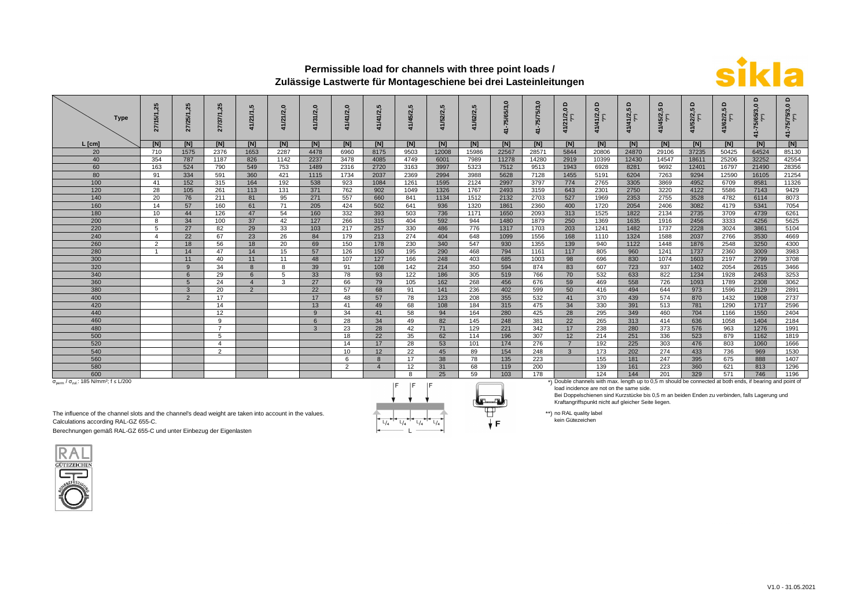

## **Permissible load for channels with three point loads / Zulässige Lastwerte für Montageschiene bei drei Lasteinleitungen**

| <b>Type</b>                                                                             | 85<br>টে       | 25<br>27/25/1, | $\overline{5}$<br>27/37/1 | ທຸ<br>2        | Q<br>41/21/2, | Č<br>41/31/2, | $\bullet$<br>2 | rú<br>/41/2    | ທາ<br>5/2              | rů<br>41/52/2 | rú.<br>/62/2 | $\circ$<br>65/3<br>-75/ | õ<br>41-75/75/3 | $\Omega$<br>121/2,0 | $\circ$<br>41/41/2,0                                                                                      | ≏<br>5<br>/41/2,<br>'''')<br>2. | $\Omega$<br>41/45/2,5 | $\circ$<br>2/2 | $\circ$<br>/62/2,<br>$\hat{r}$ | ٥<br>ę | ۵<br>õ<br>15/75/2 |
|-----------------------------------------------------------------------------------------|----------------|----------------|---------------------------|----------------|---------------|---------------|----------------|----------------|------------------------|---------------|--------------|-------------------------|-----------------|---------------------|-----------------------------------------------------------------------------------------------------------|---------------------------------|-----------------------|----------------|--------------------------------|--------|-------------------|
| $L$ [cm]                                                                                | [N]            | [N]            | [N]                       | [N]            | [N]           | [N]           | [N]            | [N]            | [N]                    | [N]           | [N]          | [N]                     | [N]             | [N]                 | [N]                                                                                                       | [N]                             | [N]                   | [N]            | [N]                            | [N]    | [N]               |
| 20                                                                                      | 710            | 1575           | 2376                      | 1653           | 2287          | 4478          | 6960           | 8175           | 9503                   | 12008         | 15986        | 22567                   | 28571           | 5844                | 20806                                                                                                     | 24870                           | 29106                 | 37235          | 50425                          | 64524  | 85130             |
| 40                                                                                      | 354            | 787            | 1187                      | 826            | 1142          | 2237          | 3478           | 4085           | 4749                   | 6001          | 7989         | 11278                   | 14280           | 2919                | 10399                                                                                                     | 12430                           | 14547                 | 18611          | 25206                          | 32252  | 42554             |
| 60                                                                                      | 163            | 524            | 790                       | 549            | 753           | 1489          | 2316           | 2720           | 3163                   | 3997          | 5323         | 7512                    | 9513            | 1943                | 6928                                                                                                      | 8281                            | 9692                  | 12401          | 16797                          | 21490  | 28356             |
| 80                                                                                      | 91             | 334            | 591                       | 360            | 421           | 1115          | 1734           | 2037           | 2369                   | 2994          | 3988         | 5628                    | 7128            | 1455                | 5191                                                                                                      | 6204                            | 7263                  | 9294           | 12590                          | 16105  | 21254             |
| 100                                                                                     | 41             | 152            | 315                       | 164            | 192           | 538           | 923            | 1084           | 1261                   | 1595          | 2124         | 2997                    | 3797            | 774                 | 2765                                                                                                      | 3305                            | 3869                  | 4952           | 6709                           | 8581   | 11326             |
| 120                                                                                     | 28             | 105            | 261                       | 113            | 131           | 371           | 762            | 902            | 1049                   | 1326          | 1767         | 2493                    | 3159            | 643                 | 2301                                                                                                      | 2750                            | 3220                  | 4122           | 5586                           | 7143   | 9429              |
| 140                                                                                     | 20             | 76             | 211                       | 81             | 95            | 271           | 557            | 660            | 841                    | 1134          | 1512         | 2132                    | 2703            | 527                 | 1969                                                                                                      | 2353                            | 2755                  | 3528           | 4782                           | 6114   | 8073              |
| 160                                                                                     | 14             | 57             | 160                       | 61             | 71            | 205           | 424            | 502            | 641                    | 936           | 1320         | 1861                    | 2360            | 400                 | 1720                                                                                                      | 2054                            | 2406                  | 3082           | 4179                           | 5341   | 7054              |
| 180                                                                                     | 10             | 44             | 126                       | 47             | 54            | 160           | 332            | 393            | 503                    | 736           | 1171         | 1650                    | 2093            | 313                 | 1525                                                                                                      | 1822                            | 2134                  | 2735           | 3709                           | 4739   | 6261              |
| 200                                                                                     | 8              | 34             | 100                       | 37             | 42            | 127           | 266            | 315            | 404                    | 592           | 944          | 1480                    | 1879            | 250                 | 1369                                                                                                      | 1635                            | 1916                  | 2456           | 3333                           | 4256   | 5625              |
| 220                                                                                     | 5              | 27             | 82                        | 29             | 33            | 103           | 217            | 257            | 330                    | 486           | 776          | 1317                    | 1703            | 203                 | 1241                                                                                                      | 1482                            | 1737                  | 2228           | 3024                           | 3861   | 5104              |
| 240                                                                                     | $\overline{4}$ | 22             | 67                        | 23             | 26            | 84            | 179            | 213            | 274                    | 404           | 648          | 1099                    | 1556            | 168                 | 1110                                                                                                      | 1324                            | 1588                  | 2037           | 2766                           | 3530   | 4669              |
| 260                                                                                     | 2              | 18             | 56                        | 18             | 20            | 69            | 150            | 178            | 230                    | 340           | 547          | 930                     | 1355            | 139                 | 940                                                                                                       | 1122                            | 1448                  | 1876           | 2548                           | 3250   | 4300              |
| 280                                                                                     |                | 14             | 47                        | 14             | 15            | 57            | 126            | 150            | 195                    | 290           | 468          | 794                     | 1161            | 117                 | 805                                                                                                       | 960                             | 1241                  | 1737           | 2360                           | 3009   | 3983              |
| 300                                                                                     |                | 11             | 40                        | 11             | 11            | 48            | 107            | 127            | 166                    | 248           | 403          | 685                     | 1003            | 98                  | 696                                                                                                       | 830                             | 1074                  | 1603           | 2197                           | 2799   | 3708              |
| 320                                                                                     |                | $\mathbf{q}$   | 34                        | 8              | 8             | 39            | 91             | 108            | 142                    | 214           | 350          | 594                     | 874             | 83                  | 607                                                                                                       | 723                             | 937                   | 1402           | 2054                           | 2615   | 3466              |
| 340                                                                                     |                | 6              | 29                        | 6              | 5             | 33            | 78             | 93             | 122                    | 186           | 305          | 519                     | 766             | 70                  | 532                                                                                                       | 633                             | 822                   | 1234           | 1928                           | 2453   | 3253              |
| 360                                                                                     |                | 5              | 24                        |                | 3             | 27            | 66             | 79             | 105                    | 162           | 268          | 456                     | 676             | 59                  | 469                                                                                                       | 558                             | 726                   | 1093           | 1789                           | 2308   | 3062              |
| 380                                                                                     |                | $\mathbf{B}$   | 20                        | $\overline{2}$ |               | 22            | 57             | 68             | 91                     | 141           | 236          | 402                     | 599             | 50                  | 416                                                                                                       | 494                             | 644                   | 973            | 1596                           | 2129   | 2891              |
| 400                                                                                     |                | $\mathcal{P}$  | 17                        |                |               | 17            | 48             | 57             | 78                     | 123           | 208          | 355                     | 532             | 41                  | 370                                                                                                       | 439                             | 574                   | 870            | 1432                           | 1908   | 2737              |
| 420                                                                                     |                |                | 14                        |                |               | 13            | 41             | 49             | 68                     | 108           | 184          | 315                     | 475             | 34                  | 330                                                                                                       | 391                             | 513                   | 781            | 1290                           | 1717   | 2596              |
| 440                                                                                     |                |                | 12                        |                |               | 9             | 34             | 41             | 58                     | 94            | 164          | 280                     | 425             | 28                  | 295                                                                                                       | 349                             | 460                   | 704            | 1166                           | 1550   | 2404              |
| 460                                                                                     |                |                | 9                         |                |               | 6             | 28             | 34             | 49                     | 82            | 145          | 248                     | 381             | 22                  | 265                                                                                                       | 313                             | 414                   | 636            | 1058                           | 1404   | 2184              |
| 480                                                                                     |                |                |                           |                |               | 3             | 23             | 28             | 42                     | 71            | 129          | 221                     | 342             | 17                  | 238                                                                                                       | 280                             | 373                   | 576            | 963                            | 1276   | 1991              |
| 500                                                                                     |                |                | 5                         |                |               |               | 18             | 22             | 35                     | 62            | 114          | 196                     | 307             | 12                  | 214                                                                                                       | 251                             | 336                   | 523            | 879                            | 1162   | 1819              |
| 520                                                                                     |                |                | $\overline{4}$            |                |               |               | 14             | 17             | 28                     | 53            | 101          | 174                     | 276             | $\overline{7}$      | 192                                                                                                       | 225                             | 303                   | 476            | 803                            | 1060   | 1666              |
| 540                                                                                     |                |                | $\overline{2}$            |                |               |               | 10             | 12             | 22                     | 45            | 89           | 154                     | 248             | $\mathbf{3}$        | 173                                                                                                       | 202                             | 274                   | 433            | 736                            | 969    | 1530              |
| 560                                                                                     |                |                |                           |                |               |               | 6              | $\mathbf{8}$   | 17                     | 38            | 78           | 135                     | 223             |                     | 155                                                                                                       | 181                             | 247                   | 395            | 675                            | 888    | 1407              |
| 580                                                                                     |                |                |                           |                |               |               | $\overline{2}$ | $\overline{4}$ | 12                     | 31            | 68           | 119                     | 200             |                     | 139                                                                                                       | 161                             | 223                   | 360            | 621                            | 813    | 1296              |
| 600                                                                                     |                |                |                           |                |               |               |                |                | 8                      | 25            | 59           | 103                     | 178             |                     | 124                                                                                                       | 144                             | 201                   | 329            | 571                            | 746    | 1196              |
| $\sigma_{\text{perm}}$ / $\sigma_{\text{zul}}$ : 185 N/mm <sup>2</sup> ; f $\leq$ L/200 |                |                |                           |                |               |               |                |                | $\Box$<br>$\mathbf{E}$ | $\Box$        | $\sqrt{}$    |                         |                 |                     | *) Double channels with max. length up to 0,5 m should be connected at both ends, if bearing and point of |                                 |                       |                |                                |        |                   |

 $L/4$  $L/4$  $L/4$  $L/4$ 

 $\left( -1\right)$ ŦŦ  $\downarrow$  F

8 25 59 103 178 124 144 201 329 571 746 1196<br>
Double channels with max. length up to 0,5 m should be connected at both ends, if bearing and point of

load incidence are not on the same side.

Bei Doppelschienen sind Kurzstücke bis 0,5 m an beiden Enden zu verbinden, falls Lagerung und Kraftangriffspunkt nicht auf gleicher Seite liegen.

The influence of the channel slots and the channel's dead weight are taken into account in the values. Calculations according RAL-GZ 655-C.

Berechnungen gemäß RAL-GZ 655-C und unter Einbezug der Eigenlasten



\*\*) no RAL quality label kein Gütezeichen